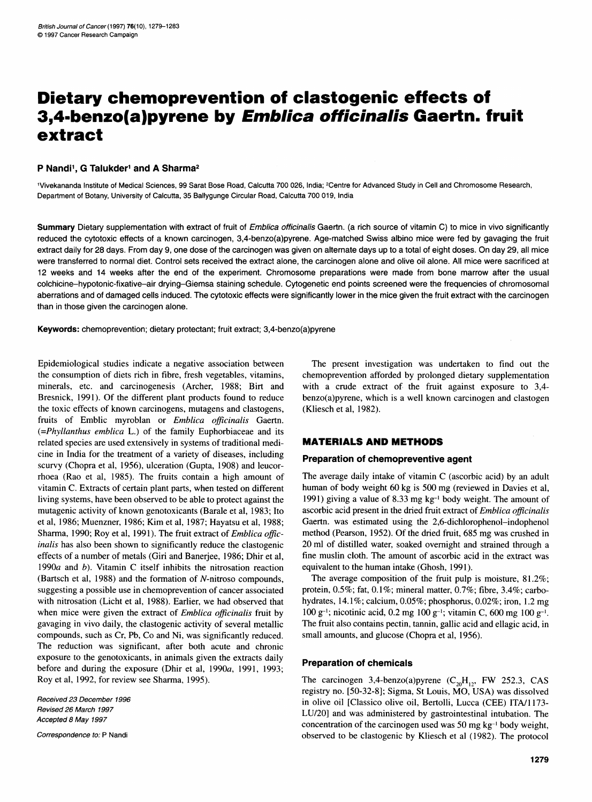# Dietary chemoprevention of clastogenic effects of 3,4-benzo(a)pyrene by Emblica officinalis Gaertn. fruit extract

## P Nandi<sup>1</sup>, G Talukder<sup>1</sup> and A Sharma<sup>2</sup>

'Vivekananda Institute of Medical Sciences, 99 Sarat Bose Road, Calcutta 700 026, India; 2Centre for Advanced Study in Cell and Chromosome Research, Department of Botany, University of Calcutta, 35 Ballygunge Circular Road, Calcutta 700 019, India

Summary Dietary supplementation with extract of fruit of Emblica officinalis Gaertn. (a rich source of vitamin C) to mice in vivo significantly reduced the cytotoxic effects of a known carcinogen, 3,4-benzo(a)pyrene. Age-matched Swiss albino mice were fed by gavaging the fruit extract daily for 28 days. From day 9, one dose of the carcinogen was given on alternate days up to a total of eight doses. On day 29, all mice were transferred to normal diet. Control sets received the extract alone, the carcinogen alone and olive oil alone. All mice were sacrificed at 12 weeks and 14 weeks after the end of the experiment. Chromosome preparations were made from bone marrow after the usual colchicine-hypotonic-fixative-air drying-Giemsa staining schedule. Cytogenetic end points screened were the frequencies of chromosomal aberrations and of damaged cells induced. The cytotoxic effects were significantly lower in the mice given the fruit extract with the carcinogen than in those given the carcinogen alone.

Keywords: chemoprevention; dietary protectant; fruit extract; 3,4-benzo(a)pyrene

Epidemiological studies indicate a negative association between the consumption of diets rich in fibre, fresh vegetables, vitamins, minerals, etc. and carcinogenesis (Archer, 1988; Birt and Bresnick, 1991). Of the different plant products found to reduce the toxic effects of known carcinogens, mutagens and clastogens, fruits of Emblic myroblan or Emblica officinalis Gaertn. (=Phyllanthus emblica L.) of the family Euphorbiaceae and its related species are used extensively in systems of traditional medicine in India for the treatment of a variety of diseases, including scurvy (Chopra et al, 1956), ulceration (Gupta, 1908) and leucorrhoea (Rao et al, 1985). The fruits contain a high amount of vitamin C. Extracts of certain plant parts, when tested on different living systems, have been observed to be able to protect against the mutagenic activity of known genotoxicants (Barale et al, 1983; Ito et al, 1986; Muenzner, 1986; Kim et al, 1987; Hayatsu et al, 1988; Sharma, 1990; Roy et al, 1991). The fruit extract of *Emblica offic*inalis has also been shown to significantly reduce the clastogenic effects of a number of metals (Giri and Banerjee, 1986; Dhir et al, 1990a and b). Vitamin C itself inhibits the nitrosation reaction (Bartsch et al, 1988) and the formation of N-nitroso compounds, suggesting a possible use in chemoprevention of cancer associated with nitrosation (Licht et al, 1988). Earlier, we had observed that when mice were given the extract of *Emblica officinalis* fruit by gavaging in vivo daily, the clastogenic activity of several metallic compounds, such as Cr, Pb, Co and Ni, was significantly reduced. The reduction was significant, after both acute and chronic exposure to the genotoxicants, in animals given the extracts daily before and during the exposure (Dhir et al, 1990a, 1991, 1993; Roy et al, 1992, for review see Sharma, 1995).

Received 23 December 1996 Revised 26 March 1997 Accepted 8 May 1997

Correspondence to: P Nandi

The present investigation was undertaken to find out the chemoprevention afforded by prolonged dietary supplementation with a crude extract of the fruit against exposure to 3,4 benzo(a)pyrene, which is a well known carcinogen and clastogen (Kliesch et al, 1982).

# MATERIALS AND METHODS

#### Preparation of chemopreventive agent

The average daily intake of vitamin C (ascorbic acid) by an adult human of body weight 60 kg is 500 mg (reviewed in Davies et al, 1991) giving <sup>a</sup> value of 8.33 mg kg-1 body weight. The amount of ascorbic acid present in the dried fruit extract of Emblica officinalis Gaertn. was estimated using the 2,6-dichlorophenol-indophenol method (Pearson, 1952). Of the dried fruit, 685 mg was crushed in 20 ml of distilled water, soaked overnight and strained through a fine muslin cloth. The amount of ascorbic acid in the extract was equivalent to the human intake (Ghosh, 1991).

The average composition of the fruit pulp is moisture, 81.2%; protein, 0.5%; fat, 0.1%; mineral matter, 0.7%; fibre, 3.4%; carbohydrates, 14.1%; calcium, 0.05%; phosphorus, 0.02%; iron, 1.2 mg 100 g-'; nicotinic acid, 0.2 mg 100 g-'; vitamin C, 600 mg 100 g-'. The fruit also contains pectin, tannin, gallic acid and ellagic acid, in small amounts, and glucose (Chopra et al, 1956).

#### Preparation of chemicals

The carcinogen 3,4-benzo(a)pyrene  $(C_{20}H_{12}$ , FW 252.3, CAS registry no. [50-32-8]; Sigma, St Louis, MO, USA) was dissolved in olive oil [Classico olive oil, Bertolli, Lucca (CEE) ITA/1 173- LU/20] and was administered by gastrointestinal intubation. The concentration of the carcinogen used was 50 mg kg-' body weight, observed to be clastogenic by Kliesch et al (1982). The protocol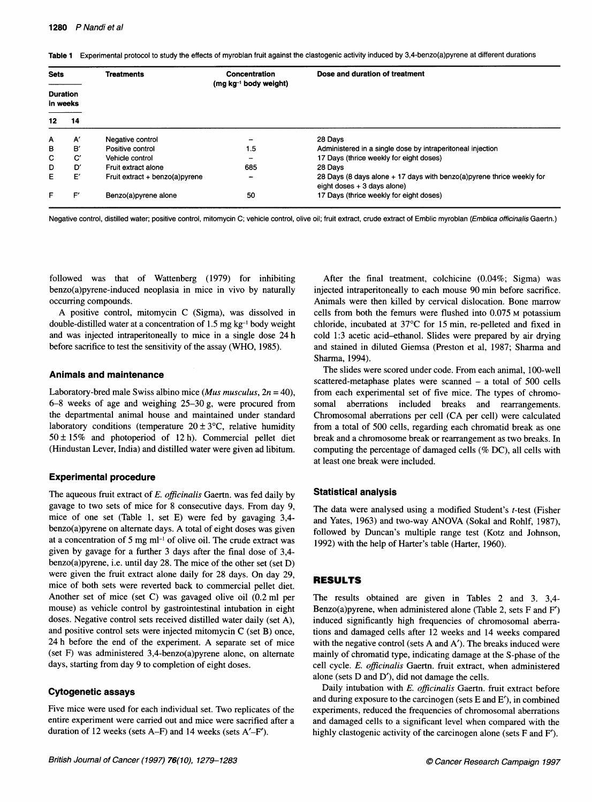Table 1 Experimental protocol to study the effects of myroblan fruit against the clastogenic activity induced by 3,4-benzo(a)pyrene at different durations

| <b>Sets</b><br><b>Duration</b><br>in weeks |    | <b>Treatments</b>              | Concentration<br>(mg kg <sup>-1</sup> body weight) | Dose and duration of treatment                                                                         |  |  |
|--------------------------------------------|----|--------------------------------|----------------------------------------------------|--------------------------------------------------------------------------------------------------------|--|--|
|                                            |    |                                |                                                    |                                                                                                        |  |  |
| 12                                         | 14 |                                |                                                    |                                                                                                        |  |  |
| A                                          | A' | Negative control               |                                                    | 28 Davs                                                                                                |  |  |
| в                                          | B' | Positive control               | 1.5                                                | Administered in a single dose by intraperitoneal injection                                             |  |  |
| с                                          | C  | Vehicle control                |                                                    | 17 Days (thrice weekly for eight doses)                                                                |  |  |
| D                                          | D' | Fruit extract alone            | 685                                                | 28 Davs                                                                                                |  |  |
| E                                          | E' | Fruit extract + benzo(a)pyrene | -                                                  | 28 Days (8 days alone + 17 days with benzo(a) pyrene thrice weekly for<br>eight doses $+3$ days alone) |  |  |
| F                                          | F′ | Benzo(a)pyrene alone           | 50                                                 | 17 Days (thrice weekly for eight doses)                                                                |  |  |

Negative control, distilled water; positive control, mitomycin C; vehicle control, olive oil; fruit extract, crude extract of Emblic myroblan (Emblica officinalis Gaertn.)

followed was that of Wattenberg (1979) for inhibiting benzo(a)pyrene-induced neoplasia in mice in vivo by naturally occurring compounds.

A positive control, mitomycin C (Sigma), was dissolved in double-distilled water at a concentration of  $1.5 \text{ mg kg}^{-1}$  body weight and was injected intraperitoneally to mice in a single dose 24 h before sacrifice to test the sensitivity of the assay (WHO, 1985).

#### Animals and maintenance

Laboratory-bred male Swiss albino mice (*Mus musculus*,  $2n = 40$ ), 6-8 weeks of age and weighing 25-30 g, were procured from the departmental animal house and maintained under standard laboratory conditions (temperature  $20 \pm 3$ °C, relative humidity  $50 \pm 15\%$  and photoperiod of 12 h). Commercial pellet diet (Hindustan Lever, India) and distilled water were given ad libitum.

#### Experimental procedure

The aqueous fruit extract of E. officinalis Gaertn. was fed daily by gavage to two sets of mice for 8 consecutive days. From day 9, mice of one set (Table 1, set E) were fed by gavaging 3,4 benzo(a)pyrene on altemate days. A total of eight doses was given at <sup>a</sup> concentration of <sup>5</sup> mg ml-' of olive oil. The crude extract was given by gavage for a further 3 days after the final dose of 3,4 benzo(a)pyrene, i.e. until day 28. The mice of the other set (set D) were given the fruit extract alone daily for 28 days. On day 29, mice of both sets were reverted back to commercial pellet diet. Another set of mice (set C) was gavaged olive oil (0.2 ml per mouse) as vehicle control by gastrointestinal intubation in eight doses. Negative control sets received distilled water daily (set A), and positive control sets were injected mitomycin C (set B) once, 24 <sup>h</sup> before the end of the experiment. A separate set of mice (set F) was administered 3,4-benzo(a)pyrene alone, on altermate days, starting from day 9 to completion of eight doses.

# Cytogenetic assays

Five mice were used for each individual set. Two replicates of the entire experiment were carried out and mice were sacrified after a duration of 12 weeks (sets A-F) and 14 weeks (sets A'-F').

After the final treatment, colchicine (0.04%; Sigma) was injected intraperitoneally to each mouse 90 min before sacrifice. Animals were then killed by cervical dislocation. Bone marrow cells from both the femurs were flushed into 0.075 M potassium chloride, incubated at 37°C for 15 min, re-pelleted and fixed in cold 1:3 acetic acid-ethanol. Slides were prepared by air drying and stained in diluted Giemsa (Preston et al, 1987; Sharma and Sharma, 1994).

The slides were scored under code. From each animal, 100-well scattered-metaphase plates were scanned  $-$  a total of 500 cells from each experimental set of five mice. The types of chromosomal aberrations included breaks and rearrangements. Chromosomal aberrations per cell (CA per cell) were calculated from a total of 500 cells, regarding each chromatid break as one break and a chromosome break or rearrangement as two breaks. In computing the percentage of damaged cells (% DC), all cells with at least one break were included.

#### Statistical analysis

The data were analysed using a modified Student's t-test (Fisher and Yates, 1963) and two-way ANOVA (Sokal and Rohlf, 1987), followed by Duncan's multiple range test (Kotz and Johnson, 1992) with the help of Harter's table (Harter, 1960).

#### RESULTS

The results obtained are given in Tables 2 and 3. 3,4- Benzo(a)pyrene, when administered alone (Table 2, sets F and <sup>F</sup>') induced significantly high frequencies of chromosomal aberrations and damaged cells after 12 weeks and 14 weeks compared with the negative control (sets A and <sup>A</sup>'). The breaks induced were mainly of chromatid type, indicating damage at the S-phase of the cell cycle. E. officinalis Gaertn. fruit extract, when administered alone (sets D and <sup>D</sup>'), did not damage the cells.

Daily intubation with E. officinalis Gaertn. fruit extract before and during exposure to the carcinogen (sets E and <sup>E</sup>'), in combined experiments, reduced the frequencies of chromosomal aberrations and damaged cells to a significant level when compared with the highly clastogenic activity of the carcinogen alone (sets F and <sup>F</sup>').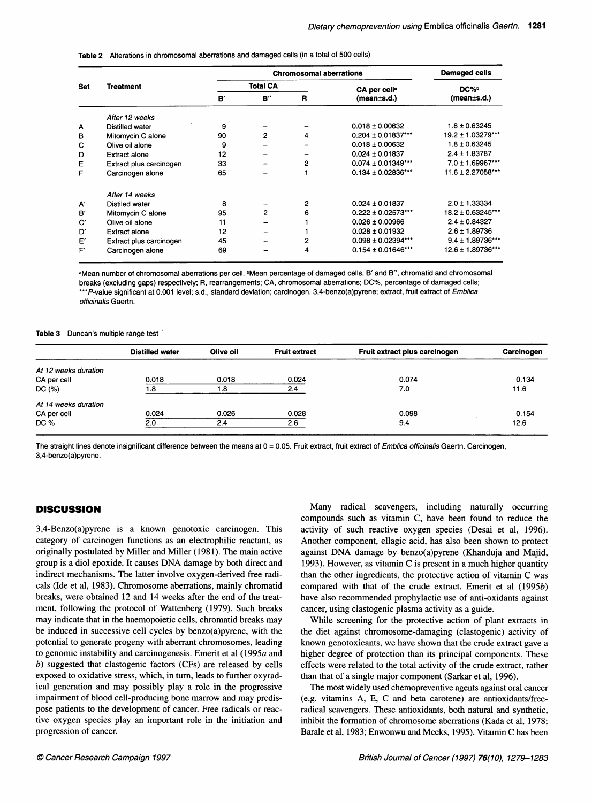Table 2 Alterations in chromosomal aberrations and damaged cells (in a total of 500 cells)

|            |                         |                 | <b>Damaged cells</b> |   |                          |                        |
|------------|-------------------------|-----------------|----------------------|---|--------------------------|------------------------|
| <b>Set</b> | <b>Treatment</b>        | <b>Total CA</b> |                      |   | CA per cell <sup>a</sup> | DC% <sup>D</sup>       |
|            |                         | ${\bf B}'$      | B''                  | R | (mean±s.d.)              | (mean±s.d.)            |
|            | After 12 weeks          |                 |                      |   |                          |                        |
| A          | Distilled water         | 9               |                      |   | $0.018 \pm 0.00632$      | $1.8 \pm 0.63245$      |
| в          | Mitomycin C alone       | 90              | $\overline{2}$       | 4 | $0.204 \pm 0.01837***$   | $19.2 \pm 1.03279$ *** |
| с          | Olive oil alone         | 9               |                      |   | $0.018 \pm 0.00632$      | $1.8 \pm 0.63245$      |
| D          | <b>Extract alone</b>    | 12              |                      |   | $0.024 \pm 0.01837$      | $2.4 \pm 1.83787$      |
| E          | Extract plus carcinogen | 33              |                      | 2 | $0.074 \pm 0.01349$ ***  | $7.0 \pm 1.69967***$   |
| F          | Carcinogen alone        | 65              |                      |   | $0.134 \pm 0.02836$ ***  | $11.6 \pm 2.27058***$  |
|            | After 14 weeks          |                 |                      |   |                          |                        |
| A'         | Distiled water          | 8               |                      | 2 | $0.024 \pm 0.01837$      | $2.0 \pm 1.33334$      |
| B          | Mitomycin C alone       | 95              | 2                    | 6 | $0.222 \pm 0.02573$ ***  | 18.2 ± 0.63245***      |
| C'         | Olive oil alone         | 11              |                      |   | $0.026 \pm 0.00966$      | $2.4 \pm 0.84327$      |
| D'         | <b>Extract alone</b>    | 12              |                      |   | $0.028 \pm 0.01932$      | $2.6 \pm 1.89736$      |
| E'         | Extract plus carcinogen | 45              |                      | 2 | $0.098 \pm 0.02394$ ***  | $9.4 \pm 1.89736$ ***  |
| F'         | Carcinogen alone        | 69              |                      | 4 | $0.154 \pm 0.01646$ ***  | 12.6 ± 1.89736***      |

aMean number of chromosomal aberrations per cell. bMean percentage of damaged cells. B' and B", chromatid and chromosomal breaks (excluding gaps) respectively; R, rearrangements; CA, chromosomal aberrations; DC%, percentage of damaged cells; \*\*\*P-value significant at 0.001 level; s.d., standard deviation; carcinogen, 3,4-benzo(a)pyrene; extract, fruit extract of Emblica officinalis Gaertn.

#### Table 3 Duncan's multiple range test

| <b>Distilled water</b> | Olive oil | <b>Fruit extract</b> | Fruit extract plus carcinogen | Carcinogen |
|------------------------|-----------|----------------------|-------------------------------|------------|
|                        |           |                      |                               |            |
| 0.018                  | 0.018     | 0.024                | 0.074                         | 0.134      |
| 1.8                    | 1.8       | 2.4                  | 7.0                           | 11.6       |
|                        |           |                      |                               |            |
| 0.024                  | 0.026     | 0.028                | 0.098                         | 0.154      |
| 2.0                    | 2.4       | 2.6                  | 9.4                           | 12.6       |
|                        |           |                      |                               |            |

The straight lines denote insignificant difference between the means at 0 = 0.05. Fruit extract, fruit extract of Emblica officinalis Gaertn. Carcinogen, 3,4-benzo(a)pyrene.

## **DISCUSSION**

3,4-Benzo(a)pyrene is a known genotoxic carcinogen. This category of carcinogen functions as an electrophilic reactant, as originally postulated by Miller and Miller (1981). The main active group is <sup>a</sup> diol epoxide. It causes DNA damage by both direct and indirect mechanisms. The latter involve oxygen-derived free radicals (Ide et al, 1983). Chromosome aberrations, mainly chromatid breaks, were obtained 12 and 14 weeks after the end of the treatment, following the protocol of Wattenberg (1979). Such breaks may indicate that in the haemopoietic cells, chromatid breaks may be induced in successive cell cycles by benzo(a)pyrene, with the potential to generate progeny with aberrant chromosomes, leading to genomic instability and carcinogenesis. Emerit et al (1995a and b) suggested that clastogenic factors (CFs) are released by cells exposed to oxidative stress, which, in turn, leads to further oxyradical generation and may possibly play a role in the progressive impairment of blood cell-producing bone marrow and may predispose patients to the development of cancer. Free radicals or reactive oxygen species play an important role in the initiation and progression of cancer.

Many radical scavengers, including naturally occurring compounds such as vitamin C, have been found to reduce the activity of such reactive oxygen species (Desai et al, 1996). Another component, ellagic acid, has also been shown to protect against DNA damage by benzo(a)pyrene (Khanduja and Majid, 1993). However, as vitamin C is present in <sup>a</sup> much higher quantity than the other ingredients, the protective action of vitamin C was compared with that of the crude extract. Emerit et al (1995b) have also recommended prophylactic use of anti-oxidants against cancer, using clastogenic plasma activity as a guide.

While screening for the protective action of plant extracts in the diet against chromosome-damaging (clastogenic) activity of known genotoxicants, we have shown that the crude extract gave a higher degree of protection than its principal components. These effects were related to the total activity of the crude extract, rather than that of a single major component (Sarkar et al, 1996).

The most widely used chemopreventive agents against oral cancer (e.g. vitamins A, E, C and beta carotene) are antioxidants/freeradical scavengers. These antioxidants, both natural and synthetic, inhibit the formation of chromosome aberrations (Kada et al, 1978; Barale et al, 1983; Enwonwu and Meeks, 1995). Vitamin C has been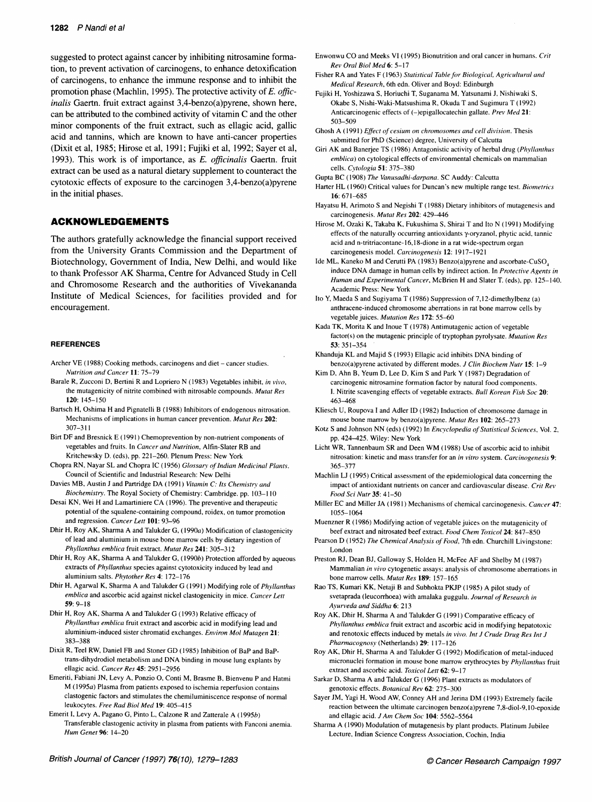suggested to protect against cancer by inhibiting nitrosamine formation, to prevent activation of carcinogens, to enhance detoxification of carcinogens, to enhance the immune response and to inhibit the promotion phase (Machlin, 1995). The protective activity of E. officinalis Gaertn. fruit extract against 3,4-benzo(a)pyrene, shown here, can be attributed to the combined activity of vitamin C and the other minor components of the fruit extract, such as ellagic acid, gallic acid and tannins, which are known to have anti-cancer properties (Dixit et al, 1985; Hirose et al, 1991; Fujiki et al, 1992; Sayer et al, 1993). This work is of importance, as E. officinalis Gaertn. fruit extract can be used as a natural dietary supplement to counteract the cytotoxic effects of exposure to the carcinogen 3,4-benzo(a)pyrene in the initial phases.

# ACKNOWLEDGEMENTS

The authors gratefully acknowledge the financial support received from the University Grants Commission and the Department of Biotechnology, Government of India, New Delhi, and would like to thank Professor AK Sharma, Centre for Advanced Study in Cell and Chromosome Research and the authorities of Vivekananda Institute of Medical Sciences, for facilities provided and for encouragement.

#### REFERENCES

- Archer VE (1988) Cooking methods, carcinogens and diet cancer studies. Nutrition and Cancer 11: 75-79
- Barale R, Zucconi D, Bertini R and Lopriero N (1983) Vegetables inhibit, in vivo, the mutagenicity of nitrite combined with nitrosable compounds. Mutat Res 120: 145-150
- Bartsch H, Oshima H and Pignatelli B (1988) Inhibitors of endogenous nitrosation. Mechanisms of implications in human cancer prevention. Mutat Res 202: 307-3 11
- Birt DF and Bresnick E (1991) Chemoprevention by non-nutrient components of vegetables and fruits. In Cancer and Nutrition, Alfin-Slater RB and Kritchewsky D. (eds), pp. 221-260. Plenum Press: New York
- Chopra RN, Nayar SL and Chopra IC (1956) Glossary of Indian Medicinal Plants. Council of Scientific and Industrial Research: New Delhi
- Davies MB, Austin <sup>J</sup> and Partridge DA (1991) Vitamin C: Its Chemistry and Biochemistry. The Royal Society of Chemistry: Cambridge. pp. 103-110
- Desai KN, Wei H and Lamartiniere CA (1996). The preventive and therapeutic potential of the squalene-containing compound, roidex, on tumor promotion and regression. Cancer Lett 101: 93-96
- Dhir H, Roy AK, Sharma A and Talukder G, (1990a) Modification of clastogenicity of lead and aluminium in mouse bone marrow cells by dietary ingestion of Phyllanthus emblica fruit extract. Mutat Res 241: 305-312
- Dhir H, Roy AK, Sharma A and Talukder G, (1990b) Protection afforded by aqueous extracts of Phyllanthus species against cytotoxicity induced by lead and aluminium salts. Phytother Res 4: 172-176
- Dhir H, Agarwal K, Sharma A and Talukder G (1991) Modifying role of Phyllanthus emblica and ascorbic acid against nickel clastogenicity in mice. Cancer Lett 59: 9-18
- Dhir H, Roy AK, Sharma A and Talukder G (1993) Relative efficacy of Phyllanthus emblica fruit extract and ascorbic acid in modifying lead and aluminium-induced sister chromatid exchanges. Environ Mol Mutagen 21: 383-388
- Dixit R, Teel RW, Daniel FB and Stoner GD (1985) Inhibition of BaP and BaPtrans-dihydrodiol metabolism and DNA binding in mouse lung explants by ellagic acid. Cancer Res 45: 2951-2956
- Emeriti, Fabiani JN, Levy A, Ponzio 0, Conti M, Brasme B, Bienvenu P and Hatmi  $M(1995a)$  Plasma from patients exposed to ischemia reperfusion contains clastogenic factors and stimulates the chemiluminiscence response of normal leukocytes. Free Rad Biol Med 19: 405-415

Emerit I, Levy A, Pagano G, Pinto L, Calzone R and Zatterale A (1995b) Transferable clastogenic activity in plasma from patients with Fanconi anemia. Hum Genet 96: 14-20

- Enwonwu CO and Meeks VI (1995) Bionutrition and oral cancer in humans. Crit Rev Oral Biol Med 6: 5-17
- Fisher RA and Yates F (1963) Statistical Table for Biological, Agricultural and Medical Research, 6th edn. Oliver and Boyd: Edinburgh
- Fujiki H, Yoshizawa S, Horiuchi T, Suganama M, Yatsunami J, Nishiwaki S, Okabe S, Nishi-Waki-Matsushima R, Okuda T and Sugimura T (1992) Anticarcinogenic effects of (-)epigallocatechin gallate. Prev Med 21: 503-509
- Ghosh A (1991) Effect of cesium on chromosomes and cell division. Thesis submitted for PhD (Science) degree, University of Calcutta
- Giri AK and Banerjee TS (1986) Antagonistic activity of herbal drug (Phyllanthus emblica) on cytological effects of environmental chemicals on mammalian cells. Cytologia 51: 375-380
- Gupta BC (1908) The Vanusadhi-darpana. SC Auddy: Calcutta
- Harter HL (1960) Critical values for Duncan's new multiple range test. Biometrics 16: 671-685
- Hayatsu H, Arimoto S and Negishi T (1988) Dietary inhibitors of mutagenesis and carcinogenesis. Mutat Res 202: 429-446
- Hirose M, Ozaki K, Takaba K, Fukushima S, Shirai T and Ito N (1991) Modifying effects of the naturally occurring antioxidants y-oryzanol, phytic acid, tannic acid and n-tritriacontane- 16,18-dione in a rat wide-spectrum organ carcinogenesis model. Carcinogenesis 12: 1917-1921
- Ide ML, Kaneko M and Cerutti PA (1983) Benzo(a)pyrene and ascorbate-CuSO<sub>4</sub> induce DNA damage in human cells by indirect action. In Protective Agents in Human and Experimental Cancer, McBrien H and Slater T. (eds), pp. 125-140. Academic Press: New York
- Ito Y, Maeda S and Sugiyama T (1986) Suppression of 7,12-dimethylbenz (a) anthracene-induced chromosome aberrations in rat bone marrow cells by vegetable juices. Mutation Res 172: 55-60
- Kada TK, Morita K and Inoue T (1978) Antimutagenic action of vegetable factor(s) on the mutagenic principle of tryptophan pyrolysate. Mutation Res 53: 35 1-354
- Khanduja KL and Majid <sup>S</sup> (1993) Ellagic acid inhibits DNA binding of benzo(a)pyrene activated by different modes. J Clin Biochem Nutr 15: 1-9
- Kim D, Ahn B, Yeum D, Lee D, Kim S and Park Y (1987) Degradation of carcinogenic nitrosamine formation factor by natural food components. I. Nitrite scavenging effects of vegetable extracts. Bull Korean Fish Soc 20: 463-468
- Kliesch U, Roupova <sup>I</sup> and Adler ID (1982) Induction of chromosome damage in mouse bone marrow by benzo(a)pyrene. Mutat Res 102: 265-273
- Kotz <sup>S</sup> and Johnson NN (eds) (1992) In Encyclopedia of Statistical Sciences, Vol. 2, pp. 424-425. Wiley: New York
- Licht WR, Tannenbaum SR and Deen WM (1988) Use of ascorbic acid to inhibit nitrosation: kinetic and mass transfer for an in vitro system. Carcinogenesis 9: 365-377
- Machlin LJ (1995) Critical assessment of the epidemiological data concerning the impact of antioxidant nutrients on cancer and cardiovascular disease. Crit Rev Food Sci Nutr 35: 41-50
- Miller EC and Miller JA (1981) Mechanisms of chemical carcinogenesis. Cancer 47: 1055-1064

Muenzner R (1986) Modifying action of vegetable juices on the mutagenicity of beef extract and nitrosated beef extract. Food Chem Toxicol 24: 847-850

- Pearson D (1952) The Chemical Analysis of Food, 7th edn. Churchill Livingstone: London
- Preston RJ, Dean BJ, Galloway S, Holden H, McFee AF and Shelby M (1987) Mammalian in vivo cytogenetic assays: analysis of chromosome aberrations in bone marrow cells. Mutat Res 189: 157-165
- Rao TS, Kumari KK, Netaji B and Subhokta PKJP (1985) A pilot study of svetaprada (leucorrhoea) with amalaka guggulu. Journal of Research in Ayurveda and Siddha 6: 213

Roy AK, Dhir H, Sharma A and Talukder G (1991) Comparative efficacy of Phvllanthus emblica fruit extract and ascorbic acid in modifying hepatotoxic and renotoxic effects induced by metals in vivo. Int J Crude Drug Res Int J Pharmacognosy (Netherlands) 29: 117-126

- Roy AK, Dhir H, Sharma A and Talukder G (1992) Modification of metal-induced micronuclei formation in mouse bone marrow erythrocytes by Phyllanthus fruit extract and ascorbic acid. Toxicol Lett 62: 9-17
- Sarkar D, Sharma A and Talukder G (1996) Plant extracts as modulators of genotoxic effects. Botanical Rev 62: 275-300
- Sayer JM, Yagi H, Wood AW, Conney AH and Jerina DM (1993) Extremely facile reaction between the ultimate carcinogen benzo(a)pyrene  $7,8$ -diol-9,10-epoxide and ellagic acid. J Am Chem Soc 104: 5562-5564
- Sharma A (1990) Modulation of mutagenesis by plant products. Platinum Jubilee Lecture, Indian Science Congress Association, Cochin, India